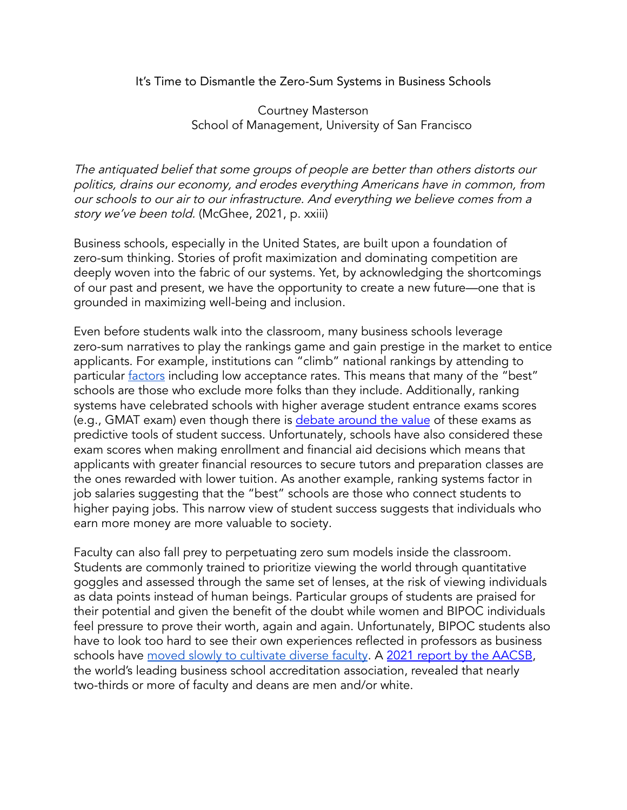## It's Time to Dismantle the Zero-Sum Systems in Business Schools

## Courtney Masterson School of Management, University of San Francisco

The antiquated belief that some groups of people are better than others distorts our politics, drains our economy, and erodes everything Americans have in common, from our schools to our air to our infrastructure. And everything we believe comes from <sup>a</sup> story we've been told. (McGhee, 2021, p. xxiii)

Business schools, especially in the United States, are built upon a foundation of zero-sum thinking. Stories of profit maximization and dominating competition are deeply woven into the fabric of our systems. Yet, by acknowledging the shortcomings of our past and present, we have the opportunity to create a new future—one that is grounded in maximizing well-being and inclusion.

Even before students walk into the classroom, many business schools leverage zero-sum narratives to play the rankings game and gain prestige in the market to entice applicants. For example, institutions can "climb" national rankings by attending to particular **[factors](https://www.usnews.com/education/best-graduate-schools/articles/business-schools-methodology)** including low acceptance rates. This means that many of the "best" schools are those who exclude more folks than they include. Additionally, ranking systems have celebrated schools with higher average student entrance exams scores (e.g., GMAT exam) even though there is [debate](https://poetsandquants.com/2021/12/08/why-our-mba-program-doesnt-require-the-gmat-rethinking-the-mba-admissions-process/?pq-category=gies-admissions) around the value of these exams as predictive tools of student success. Unfortunately, schools have also considered these exam scores when making enrollment and financial aid decisions which means that applicants with greater financial resources to secure tutors and preparation classes are the ones rewarded with lower tuition. As another example, ranking systems factor in job salaries suggesting that the "best" schools are those who connect students to higher paying jobs. This narrow view of student success suggests that individuals who earn more money are more valuable to society.

Faculty can also fall prey to perpetuating zero sum models inside the classroom. Students are commonly trained to prioritize viewing the world through quantitative goggles and assessed through the same set of lenses, at the risk of viewing individuals as data points instead of human beings. Particular groups of students are praised for their potential and given the benefit of the doubt while women and BIPOC individuals feel pressure to prove their worth, again and again. Unfortunately, BIPOC students also have to look too hard to see their own experiences reflected in professors as business schools have moved slowly to [cultivate](https://www.bloomberg.com/news/articles/2021-11-02/business-schools-mba-classes-more-diverse-than-ever-but-faculty-lags-behind) diverse faculty. A 2021 report by the [AACSB](https://www.aacsb.edu/-/media/publications/research-reports/2021-business-school-data-guide-october-release.pdf?rev=81e7bd5fd0d4457faf5b636febf42cc9&hash=55B924B057B75A083046C2876367A497), the world's leading business school accreditation association, revealed that nearly two-thirds or more of faculty and deans are men and/or white.